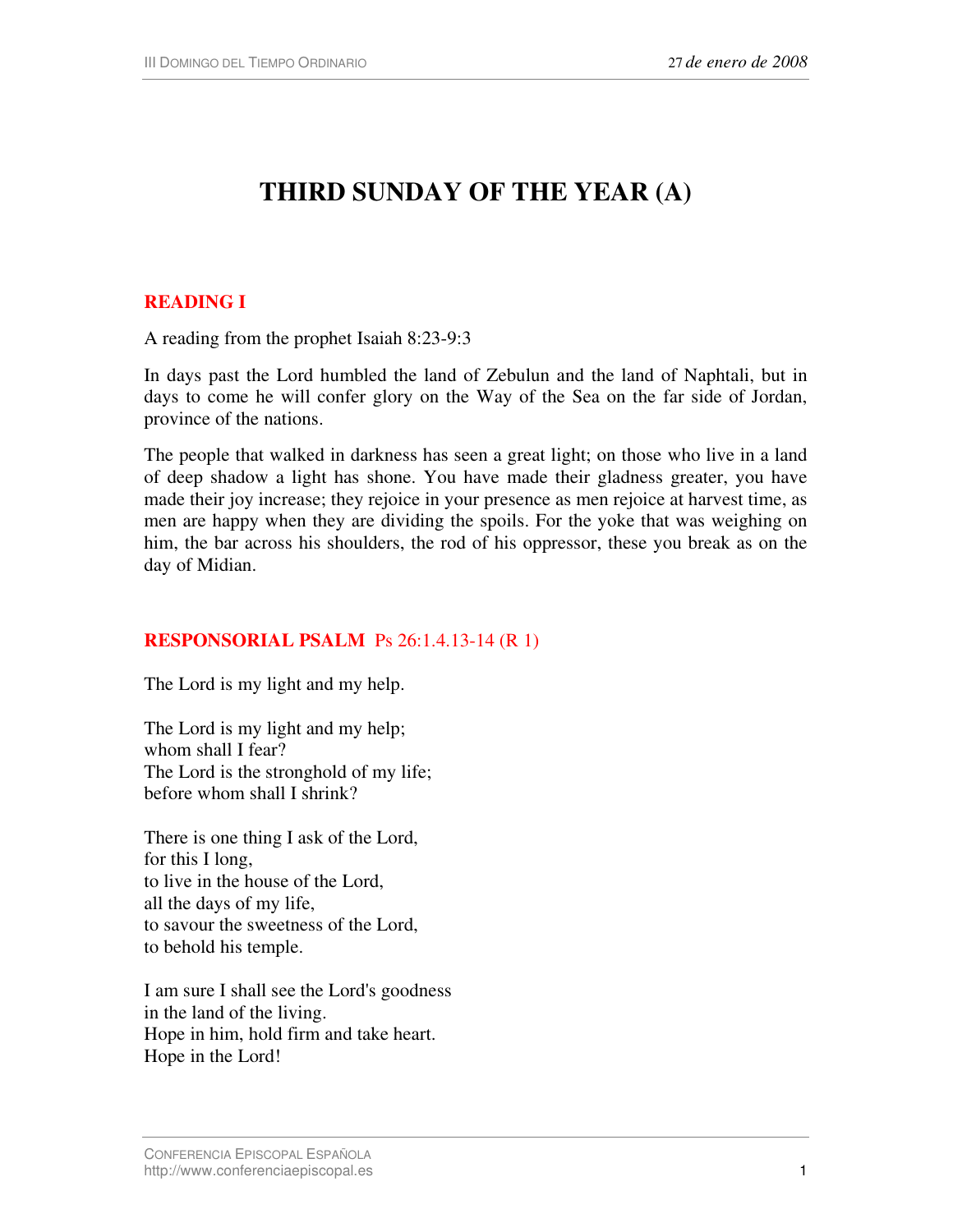# **THIRD SUNDAY OF THE YEAR (A)**

### **READING I**

A reading from the prophet Isaiah 8:23-9:3

In days past the Lord humbled the land of Zebulun and the land of Naphtali, but in days to come he will confer glory on the Way of the Sea on the far side of Jordan, province of the nations.

The people that walked in darkness has seen a great light; on those who live in a land of deep shadow a light has shone. You have made their gladness greater, you have made their joy increase; they rejoice in your presence as men rejoice at harvest time, as men are happy when they are dividing the spoils. For the yoke that was weighing on him, the bar across his shoulders, the rod of his oppressor, these you break as on the day of Midian.

#### **RESPONSORIAL PSALM** Ps 26:1.4.13-14 (R 1)

The Lord is my light and my help.

The Lord is my light and my help; whom shall I fear? The Lord is the stronghold of my life; before whom shall I shrink?

There is one thing I ask of the Lord, for this I long, to live in the house of the Lord, all the days of my life, to savour the sweetness of the Lord, to behold his temple.

I am sure I shall see the Lord's goodness in the land of the living. Hope in him, hold firm and take heart. Hope in the Lord!